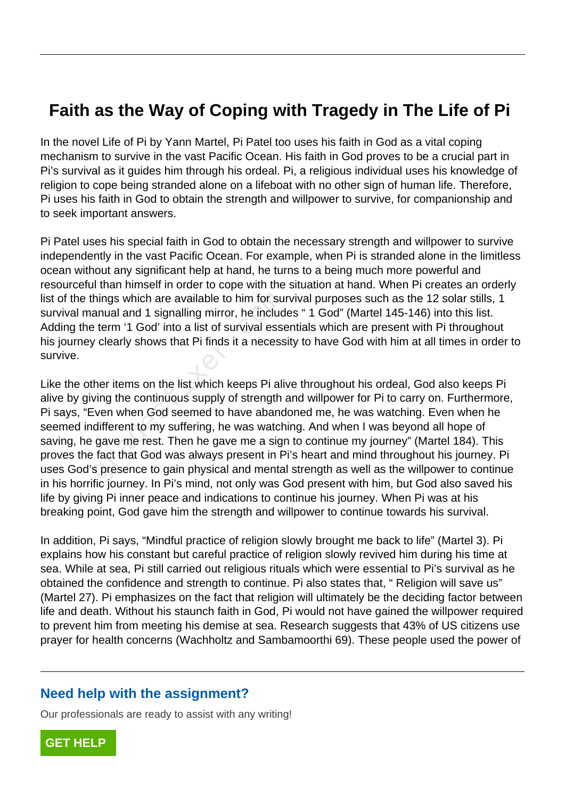# **Faith as the Way of Coping with Tragedy in The Life of Pi**

In the novel Life of Pi by Yann Martel, Pi Patel too uses his faith in God as a vital coping mechanism to survive in the vast Pacific Ocean. His faith in God proves to be a crucial part in Pi's survival as it guides him through his ordeal. Pi, a religious individual uses his knowledge of religion to cope being stranded alone on a lifeboat with no other sign of human life. Therefore, Pi uses his faith in God to obtain the strength and willpower to survive, for companionship and to seek important answers.

Pi Patel uses his special faith in God to obtain the necessary strength and willpower to survive independently in the vast Pacific Ocean. For example, when Pi is stranded alone in the limitless ocean without any significant help at hand, he turns to a being much more powerful and resourceful than himself in order to cope with the situation at hand. When Pi creates an orderly list of the things which are available to him for survival purposes such as the 12 solar stills, 1 survival manual and 1 signalling mirror, he includes " 1 God" (Martel 145-146) into this list. Adding the term '1 God' into a list of survival essentials which are present with Pi throughout his journey clearly shows that Pi finds it a necessity to have God with him at all times in order to survive.

Like the other items on the list which keeps Pi alive throughout his ordeal, God also keeps Pi alive by giving the continuous supply of strength and willpower for Pi to carry on. Furthermore, Pi says, "Even when God seemed to have abandoned me, he was watching. Even when he seemed indifferent to my suffering, he was watching. And when I was beyond all hope of saving, he gave me rest. Then he gave me a sign to continue my journey" (Martel 184). This proves the fact that God was always present in Pi's heart and mind throughout his journey. Pi uses God's presence to gain physical and mental strength as well as the willpower to continue in his horrific journey. In Pi's mind, not only was God present with him, but God also saved his life by giving Pi inner peace and indications to continue his journey. When Pi was at his breaking point, God gave him the strength and willpower to continue towards his survival. hings which are available to him for su<br>anual and 1 signalling mirror, he includ<br>eterm '1 God' into a list of survival esse<br>y clearly shows that Pi finds it a necess<br>her items on the list which keeps Pi ali<br>wing the contin

In addition, Pi says, "Mindful practice of religion slowly brought me back to life" (Martel 3). Pi explains how his constant but careful practice of religion slowly revived him during his time at sea. While at sea, Pi still carried out religious rituals which were essential to Pi's survival as he obtained the confidence and strength to continue. Pi also states that, " Religion will save us" (Martel 27). Pi emphasizes on the fact that religion will ultimately be the deciding factor between life and death. Without his staunch faith in God, Pi would not have gained the willpower required to prevent him from meeting his demise at sea. Research suggests that 43% of US citizens use prayer for health concerns (Wachholtz and Sambamoorthi 69). These people used the power of

#### **Need help with the assignment?**

Our professionals are ready to assist with any writing!

**[GET HELP](https://my.gradesfixer.com/order?utm_campaign=pdf_sample)**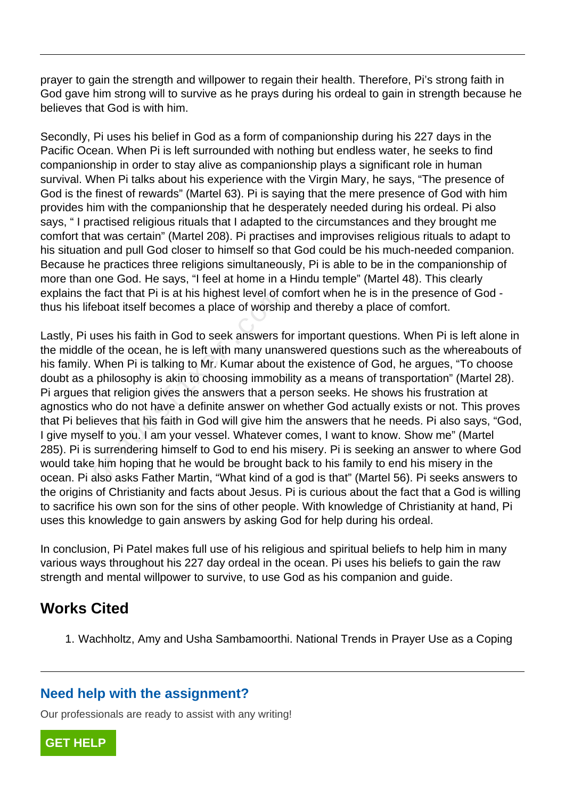prayer to gain the strength and willpower to regain their health. Therefore, Pi's strong faith in God gave him strong will to survive as he prays during his ordeal to gain in strength because he believes that God is with him.

Secondly, Pi uses his belief in God as a form of companionship during his 227 days in the Pacific Ocean. When Pi is left surrounded with nothing but endless water, he seeks to find companionship in order to stay alive as companionship plays a significant role in human survival. When Pi talks about his experience with the Virgin Mary, he says, "The presence of God is the finest of rewards" (Martel 63). Pi is saying that the mere presence of God with him provides him with the companionship that he desperately needed during his ordeal. Pi also says, " I practised religious rituals that I adapted to the circumstances and they brought me comfort that was certain" (Martel 208). Pi practises and improvises religious rituals to adapt to his situation and pull God closer to himself so that God could be his much-needed companion. Because he practices three religions simultaneously, Pi is able to be in the companionship of more than one God. He says, "I feel at home in a Hindu temple" (Martel 48). This clearly explains the fact that Pi is at his highest level of comfort when he is in the presence of God thus his lifeboat itself becomes a place of worship and thereby a place of comfort.

Lastly, Pi uses his faith in God to seek answers for important questions. When Pi is left alone in the middle of the ocean, he is left with many unanswered questions such as the whereabouts of his family. When Pi is talking to Mr. Kumar about the existence of God, he argues, "To choose doubt as a philosophy is akin to choosing immobility as a means of transportation" (Martel 28). Pi argues that religion gives the answers that a person seeks. He shows his frustration at agnostics who do not have a definite answer on whether God actually exists or not. This proves that Pi believes that his faith in God will give him the answers that he needs. Pi also says, "God, I give myself to you. I am your vessel. Whatever comes, I want to know. Show me" (Martel 285). Pi is surrendering himself to God to end his misery. Pi is seeking an answer to where God would take him hoping that he would be brought back to his family to end his misery in the ocean. Pi also asks Father Martin, "What kind of a god is that" (Martel 56). Pi seeks answers to the origins of Christianity and facts about Jesus. Pi is curious about the fact that a God is willing to sacrifice his own son for the sins of other people. With knowledge of Christianity at hand, Pi uses this knowledge to gain answers by asking God for help during his ordeal. e fact that PT is at his highest level of deboat itself becomes a place of worship<br>uses his faith in God to seek answers for the ocean, he is left with many unar<br>When Pi is talking to Mr. Kumar about<br>philosophy is akin to

In conclusion, Pi Patel makes full use of his religious and spiritual beliefs to help him in many various ways throughout his 227 day ordeal in the ocean. Pi uses his beliefs to gain the raw strength and mental willpower to survive, to use God as his companion and guide.

## **Works Cited**

1. Wachholtz, Amy and Usha Sambamoorthi. National Trends in Prayer Use as a Coping

### **Need help with the assignment?**

Our professionals are ready to assist with any writing!